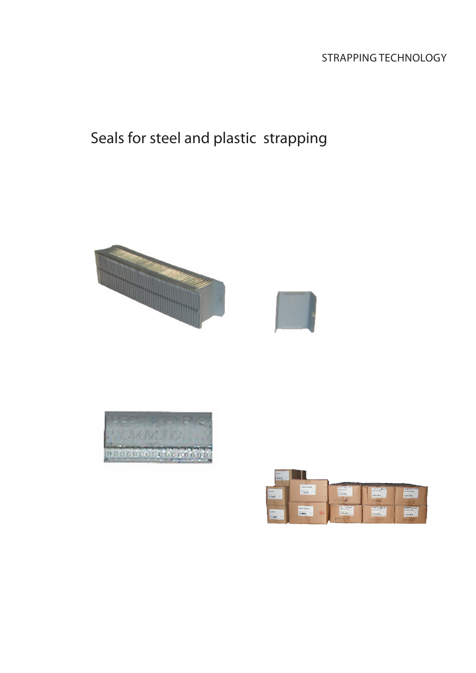## Strapping technology

# Seals for steel and plastic strapping